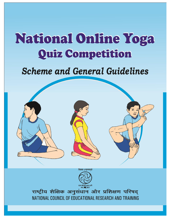# National Online Yoga **Quiz Competition**

# **Scheme and General Guidelines**



राष्ट्रीय शैक्षिक अनुसंधान और प्रशिक्षण परिषद् NATIONAL COUNCIL OF EDUCATIONAL RESEARCH AND TRAINING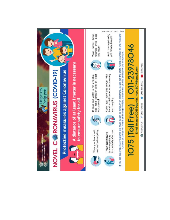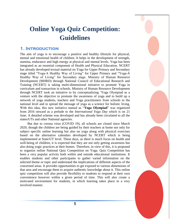# **Online Yoga Quiz Competition: Guidelines**

#### **1. Introduction**

The aim of yoga is to encourage a positive and healthy lifestyle for physical, mental and emotional health of children. It helps in the development of strength, stamina, endurance and high energy at physical and mental levels. Yoga has been integrated as an essential component of Health and Physical Education. NCERT has already developed textual material on Yoga for Upper Primary and Secondary stage titled "Yoga-A Healthy Way of Living" for Upper Primary and "Yoga-A Healthy Way of Living" for Secondary stage. Ministry of Human Resource Development (MHRD) through National Council of Educational Research and Training (NCERT) is taking multi-dimensional initiative to promote Yoga in curriculum and transaction in schools. Ministry of Human Resource Development through NCERT took an initiative to by conceptualizing "Yoga Olympiad as a venture with the objective to promote the awareness of yoga and to build up a network of yoga students, teachers and Yoga practitioners from schools to the national level and to spread the message of yoga as a science for holistic living. With this idea, this new initiative named as "**Yoga Olympiad**" was organized from 2016 onward as a prelude to the *International Yoga Day* which is on 21 June. A detailed scheme was developed and has already been circulated to all the states/UTs and other National agencies.

But due to corona virus (COVID 19), all schools are closed since March 2020, though the children are being guided by their teachers at home not only for subject specific online learning but also on yoga along with physical exercises based on the alternative calendars developed by NCERT which is being implemented at State/UT level. These days, as there is much focus on health and well-being of children, it is expected that they are not only getting awareness but also doing yogic practices at their homes. Therefore, in view of this, it is proposed to organize online National Quiz Competition on Yoga. Quiz Competition has been a very popular activity both within and outside educational institutions. It enables students and other participants to gather varied information on the selected theme or topic and understand the implications of different aspects of the concerned areas. It provides opportunities to get exposed to various dimensions of that area and encourage them to acquire authentic knowledge about it. This online quiz competition will also provide flexibility to students to respond at their own convenience however within a given period of time. This will also create a motivated environment for students, in which learning takes place in a very involved manner.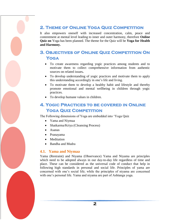### **2. Theme of Online Yoga Quiz Competition**

It also empowers oneself with increased concentration, calm, peace and contentment at mental level leading to inner and outer harmony, therefore **Online Quiz on** Yoga has been planned. The theme for the Quiz will be **Yoga for Health and Harmony.** 

# **3. Objectives of Online Quiz Competition On Yoga**

- To create awareness regarding yogic practices among students and to motivate them to collect comprehensive information from authentic sources on related issues**.**
- To develop understanding of yogic practices and motivate them to apply this understanding accordingly in one"s life and living.
- To motivate them to develop a healthy habit and lifestyle and thereby promote emotional and mental wellbeing in children through yogic practices.
- To develop humane values in children.

### **4. Yogic Practices to be covered in Online YOGA QUIZ COMPETITION**

The Following dimensions of Yoga are embedded into "Yoga Quiz

- Yama and Niymaa
- Shatkarma/Kriya (Cleansing Process)
- Asanas
- Pranayama
- Meditation
- Bandha and Mudra

#### **4.1. Yama and Niymaa**

Yama (Restraint) and Niyama (Observance) Yama and Niyama are principles which need to be adopted always in our day-to-day life regardless of time and place. These can be considered as the universal code of conduct that help in following high standards in personal and social life. Principles of yama are concerned with one"s social life; while the principles of niyama are concerned with one's personal life. Yama and niyama are part of Ashtanga yoga.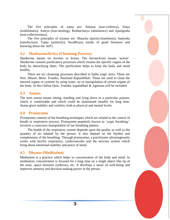The five principles of yama are: Ahimsa (non-violence), Satya (truthfulness); Asteya (non-stealing); Brahmcharya (abstinence) and Aparigraha (non-collectiveness).

The five principles of niyama are: Shaucha (purity/cleanliness); Santosha (satisfaction); Tapas (austerity); Swadhyaya (study of good literature and knowing about the 'self')

#### **4.2 Shatkarma/Kriya (Cleansing Process)**

*Shatkarma* means six *karmas* or *kriyas*. The *karma*/*kriya* means "action". *Shatkarma* consists purificatory processes which cleanse the specific organs of the body by detoxifying them. The purification helps to keep the body and mind healthy.

There are six cleansing processes described in hatha yogic texts. These are *Neti, Dhauti, Basti, Trataka, Nauli*and *Kapalabhati*. These are used to clean the internal organs or systems by using water, air or manipulation of certain organs of the body. In this Online Quiz, *Trataka,* kapalabhati & Agnisara will be included.

#### **4.3 Asanas**

The term *asana* means sitting, standing and lying down in a particular posture, which is comfortable and which could be maintained steadily for long time. *Asana* gives stability and comfort, both at physical and mental levels.

#### **4.4 Pranayama**

*Pranayama* consists of the breathing techniques which are related to the control of breath or respiratory process. *Pranayama* popularly known as "yogic breathing", involves a conscious manipulation of our breathing pattern.

The health of the respiratory system depends upon the quality as well as the quantity of air inhaled by the person. It also depend on the rhythm and completeness of the breathing. Through *pranayama*, a practitioner advantageously works with her/his respiratory, cardiovascular and the nervous system which bring about emotional stability and peace of mind.

#### **4.5 Dhyana (Meditation)**

Meditation is a practice which helps in concentration of the body and mind. In meditation, concentration is focused for a long time on a single object like tip of the nose, space between eyebrows, etc. It develops a sense of well-being and improves memory and decision making power in the person.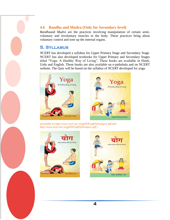#### **4.6 Bandha and Mudra (Only for Secondary level)**

*Bandha*and *Mudra* are the practices involving manipulation of certain semivoluntary and involuntary muscles in the body. These practices bring about voluntary control and tone up the internal organs.

#### **5. Syllabus**

*NCERT* has developed a syllabus for Upper Primary Stage and Secondary Stage. NCERT has also developed textbooks for Upper Primary and Secondary Stages titled "Yoga: A Healthy Way of Living". These books are available in Hindi, Urdu and English. These books are also available on e-pathshala and on NCERT website. The Quiz will be based on the syllabus of *NCERT* developed for yoga.





*(available on http://www.ncert.nic.in/gpPDF/pdf/tiyhwlups1.pdf and http://www.ncert.nic.in/gpPDF/pdf/tiyhwlups1.pdf )*



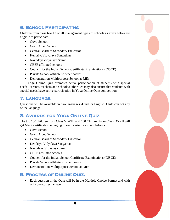# **6. School Participating**

Children from class 6 to 12 of all management types of schools as given below are eligible to participate.

- Govt. School
- Govt. Aided School
- Central Board of Secondary Education
- KendriyaVidyalaya Sangathan
- NavodayaVidyalaya Samiti
- CBSE affiliated schools
- Council for the Indian School Certificate Examinations (CISCE)
- Private School affiliate to other boards
- Demonstration Multipurpose School at RIEs

Yoga Online Quiz promotes active participation of students with special needs. Parents, teachers and schools/authorities may also ensure that students with special needs have active participation in Yoga Online Quiz competition..

# **7. Language**

Questions will be available in two languages -Hindi or English. Child can opt any of the language.

# **8. Awards for Yoga Online Quiz**

The top 100 children from Class VI-VIII and 100 Children from Class IX-XII will get Merit certificates belonging to each system as given below:-

- Govt. School
- Govt. Aided School
- Central Board of Secondary Education
- Kendriya Vidyalaya Sangathan
- Navodaya Vidyalaya Samiti
- CBSE affiliated schools
- Council for the Indian School Certificate Examinations (CISCE)
- Private School affiliate to other boards
- Demonstration Multipurpose School at RIEs

### **9. Process of Online Quiz.**

 Each question in the Quiz will be in the Multiple Choice Format and with only one correct answer.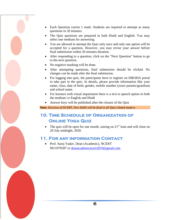- Each Question carries 1 mark. Students are required to attempt as many questions in 20 minutes.
- The Quiz questions are prepared in both Hindi and English. You may select one medium for answering.
- You are allowed to attempt the Quiz only once and only one option will be accepted for a question. However, you may revise your answer before final submission within 20 minutes duration.
- After responding to a question, click on the "Next Question" button to go to the next question.
- No negative marking will be done.
- After attempting questions, final submission should be clicked. No changes can be made after the final submission.
- For logging into quiz, the participants have to register on DIKSHA portal to take part in the quiz. In details, please provide information like your name, class, date of birth, gender, mobile number (yours parents/guardian) and school name.
- For learners with visual impairment there is a text to speech option in both the medium i.e English and Hindi
- Answer keys will be published after the closure of the Quiz

**Note:** *Decision of NCERT, New Delhi will be final in all Quiz related matters.*

### **10. Time Schedule of Organization of Online Yoga Quiz**

• The quiz will be open for one month, staring on  $21<sup>st</sup>$  June and will close on 20 July midnight, 2020.

#### **11. For any information Contact**

 Prof. Saroj Yadav, Dean (Academic), NCERT 9911079287 or [deanacademicncert2019@gmail.com](mailto:deanacademicncert2019@gmail.com)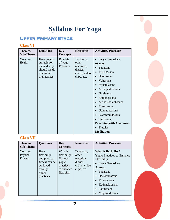# **Syllabus For Yoga**

# **Upper Primary Stage**

#### **Class VI**

| Themes/<br><b>Sub-Theme</b> | <b>Questions</b>                                                                      | <b>Key</b><br><b>Concepts</b>           | <b>Resources</b>                                                             | <b>Activities/Processes</b>                                                                                                                                                                                                                                                                                                |
|-----------------------------|---------------------------------------------------------------------------------------|-----------------------------------------|------------------------------------------------------------------------------|----------------------------------------------------------------------------------------------------------------------------------------------------------------------------------------------------------------------------------------------------------------------------------------------------------------------------|
| Yoga for<br>Health          | How yoga is<br>suitable for<br>me and why<br>should we do<br>asanas and<br>pranayamas | <b>Benefits</b><br>of yoga<br>Practices | Textbook,<br>other<br>materials,<br>diaries,<br>charts, video<br>clips, etc. | Surya Namaskara<br><b>Asanas</b><br>Tadasana<br>Vrikshasana<br>Utkatasana<br>Vajrasana<br>Swastikasana<br>Ardhapadmasana<br>Niralamba<br>Bhujangasana<br>Ardha-shalabhasana<br>Makarasana<br>Uttanapadasana<br>Pawanmuktasana<br>Shavasana<br><b>Breathing with Awareness</b><br>Trataka<br>$\bullet$<br><b>Meditation</b> |

#### **Class VII**

| Themes/<br><b>Sub-Theme</b>            | <b>Questions</b>                                                                                  | <b>Key</b><br><b>Concepts</b>                                                        | <b>Resources</b>                                                             | <b>Activities/Processes</b>                                                                                                                                                                               |
|----------------------------------------|---------------------------------------------------------------------------------------------------|--------------------------------------------------------------------------------------|------------------------------------------------------------------------------|-----------------------------------------------------------------------------------------------------------------------------------------------------------------------------------------------------------|
| Yoga for<br>Physical<br><b>Fitness</b> | How<br>flexibility<br>and physical<br>fitness can be<br>achieved<br>through<br>yogic<br>practices | What is<br>flexibility?<br>Various<br>yogic<br>practices<br>to enhance<br>flexibilty | Textbook,<br>other<br>materials,<br>diaries,<br>charts, video<br>clips, etc. | What is flexibility?<br><b>Yogic Practices to Enhance</b><br>Flexibility<br>Surya Namaskara<br><b>Asanas</b><br>Tadasana<br>Hastottanasana<br>Trikonasana<br>Katicnakrasana<br>Padmasana<br>Yogamudrasana |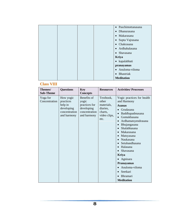|  |  | · Paschimottanasana          |
|--|--|------------------------------|
|  |  | Dhanurasana<br>$\bullet$     |
|  |  | • Makarasana                 |
|  |  | Supta Vajrasana<br>$\bullet$ |
|  |  | Chakrasana<br>$\bullet$      |
|  |  | · Ardhahalasana              |
|  |  | • Shavasana                  |
|  |  | <b>Kriya</b>                 |
|  |  | • kapalabhati                |
|  |  | pranayamas                   |
|  |  | • Anuloma-viloma             |
|  |  | Bhastriak<br>$\bullet$       |
|  |  | <b>Meditation</b>            |
|  |  |                              |

# **Class VIII**

| Themes/<br><b>Sub-Theme</b> | <b>Questions</b>                                                                | <b>Key</b><br><b>Concepts</b>                                                       | <b>Resources</b>                                                                | <b>Activities/Processes</b>                                                                                                                                                                                                                                                                                                                                                                                                                                                         |
|-----------------------------|---------------------------------------------------------------------------------|-------------------------------------------------------------------------------------|---------------------------------------------------------------------------------|-------------------------------------------------------------------------------------------------------------------------------------------------------------------------------------------------------------------------------------------------------------------------------------------------------------------------------------------------------------------------------------------------------------------------------------------------------------------------------------|
| Yoga for<br>Concentration   | How yogic<br>practices<br>help in<br>developing<br>concentration<br>and harmony | Benefits of<br>yogic<br>practices for<br>developing<br>concentration<br>and harmony | Textbook,<br>other<br>materials,<br>diaries,<br>charts,<br>video clips,<br>etc. | Yogic practices for health<br>and Harmony<br><b>Asanas</b><br>Grudasana<br>Baddhapadmasana<br>$\bullet$<br>Gomukhasana<br>$\bullet$<br>Ardhamatsyendrasana<br>$\bullet$<br>Bhujangasana<br>$\bullet$<br>Shalabhasana<br>$\bullet$<br>Makarasana<br>Matsyasana<br>$\bullet$<br>Naukasana<br>$\bullet$<br>Setubandhasana<br>$\bullet$<br>Halasana<br>Shavasana<br><b>Kriya</b><br>Agnisara<br><b>Pranayamas</b><br>Anuloma-viloma<br>Seetkari<br><b>Bhramari</b><br><b>Meditation</b> |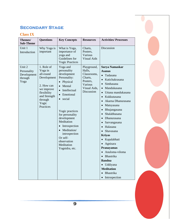# **Secondary Stage**

#### **Class IX**

| Themes/<br><b>Sub-Theme</b>                             | <b>Questions</b>                                                                                                                              | <b>Key Concepts</b>                                                                                                                                                                                                                                                                                                                                                              | <b>Resources</b>                                                                                     | <b>Activities/Processes</b>                                                                                                                                                                                                                                                                                                                                                                                                                                                                                                                 |
|---------------------------------------------------------|-----------------------------------------------------------------------------------------------------------------------------------------------|----------------------------------------------------------------------------------------------------------------------------------------------------------------------------------------------------------------------------------------------------------------------------------------------------------------------------------------------------------------------------------|------------------------------------------------------------------------------------------------------|---------------------------------------------------------------------------------------------------------------------------------------------------------------------------------------------------------------------------------------------------------------------------------------------------------------------------------------------------------------------------------------------------------------------------------------------------------------------------------------------------------------------------------------------|
| Unit 1<br>Introduction                                  | Why Yoga is<br>important                                                                                                                      | What is Yoga,<br>importance of<br>yoga and<br>Guidelines for<br><b>Yogic Practices</b>                                                                                                                                                                                                                                                                                           | Charts,<br>Posters.<br>Various<br><b>Visual Aids</b>                                                 | Discussion                                                                                                                                                                                                                                                                                                                                                                                                                                                                                                                                  |
| Unit 2<br>Personality<br>Development<br>through<br>Yoga | 1. Role of<br>Yoga in<br>all-round<br>Development<br>2. How can<br>we improve<br>flexibility<br>and Strength<br>through<br>Yogic<br>Practices | Yoga and<br>personality<br>development<br>Personality:<br>Physical<br>$\bullet$<br>Mental<br>$\bullet$<br>Intellectual<br>$\bullet$<br>Emotional<br>$\bullet$<br>social<br>$\bullet$<br>Yogic practices<br>for personality<br>development<br>Meditation<br>Introspection<br>$\bullet$<br>Meditation/<br>introspection<br>Or self-<br>observation<br>Meditation<br>Yognidra, etc. | Playground,<br>Halls,<br>Classrooms,<br>Charts,<br>Posters,<br>Various<br>Visual Aids,<br>Discussion | <b>Surya Namaskar</b><br><b>Asanas</b><br>Tadasana<br>$\bullet$<br>Katichakrasana<br>Simhasana<br>$\bullet$<br>Mandukasana<br>$\bullet$<br>Uttana mandukasana<br>Kukkutasana<br>Akarna Dhanurasana<br>Matsyasana<br>$\bullet$<br>Bhujangasana<br>Shalabhasana<br>$\bullet$<br>Dhanurasana<br>$\bullet$<br>Sarvangasana<br>Halasana<br>Shavasana<br><b>Kriyas</b><br>• Kapalabhati<br>Agnisara<br>Pranayamas<br>Anuloma-viloma<br>Bhastrika<br>$\bullet$<br><b>Bandna</b><br>· Uddiyana<br><b>Meditation</b><br>Bhastrika<br>• Introspection |